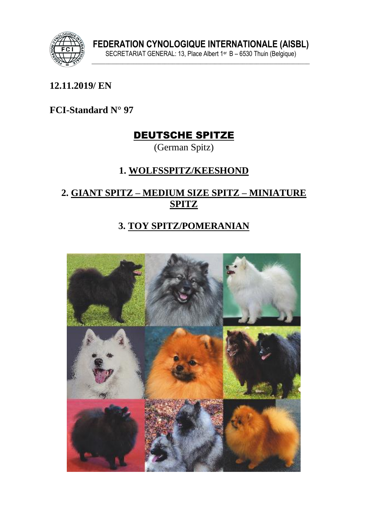

#### **12.11.2019/ EN**

**FCI-Standard N° 97**

# DEUTSCHE SPITZE

(German Spitz)

## **1. WOLFSSPITZ/KEESHOND**

#### **2. GIANT SPITZ – MEDIUM SIZE SPITZ – MINIATURE SPITZ**

#### **3. TOY SPITZ/POMERANIAN**

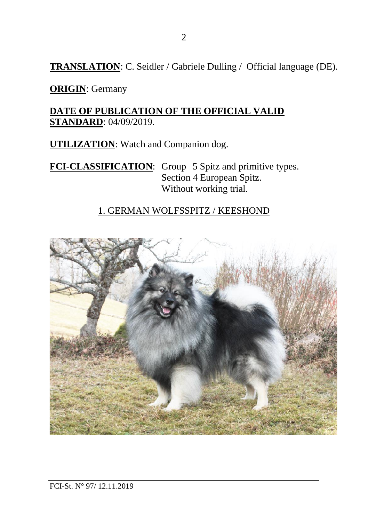**TRANSLATION**: C. Seidler / Gabriele Dulling / Official language (DE).

**ORIGIN**: Germany

**DATE OF PUBLICATION OF THE OFFICIAL VALID STANDARD**: 04/09/2019.

**UTILIZATION**: Watch and Companion dog.

**FCI-CLASSIFICATION**: Group 5 Spitz and primitive types. Section 4 European Spitz. Without working trial.

#### 1. GERMAN WOLFSSPITZ / KEESHOND

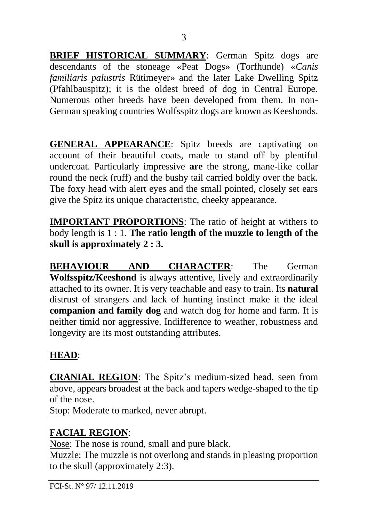**BRIEF HISTORICAL SUMMARY**: German Spitz dogs are descendants of the stoneage «Peat Dogs» (Torfhunde) «*Canis familiaris palustris* Rütimeyer» and the later Lake Dwelling Spitz (Pfahlbauspitz); it is the oldest breed of dog in Central Europe. Numerous other breeds have been developed from them. In non-German speaking countries Wolfsspitz dogs are known as Keeshonds.

**GENERAL APPEARANCE**: Spitz breeds are captivating on account of their beautiful coats, made to stand off by plentiful undercoat. Particularly impressive **are** the strong, mane-like collar round the neck (ruff) and the bushy tail carried boldly over the back. The foxy head with alert eyes and the small pointed, closely set ears give the Spitz its unique characteristic, cheeky appearance.

**IMPORTANT PROPORTIONS**: The ratio of height at withers to body length is 1 : 1. **The ratio length of the muzzle to length of the skull is approximately 2 : 3.**

**BEHAVIOUR AND CHARACTER**: The German **Wolfsspitz/Keeshond** is always attentive, lively and extraordinarily attached to its owner. It is very teachable and easy to train. Its **natural** distrust of strangers and lack of hunting instinct make it the ideal **companion and family dog** and watch dog for home and farm. It is neither timid nor aggressive. Indifference to weather, robustness and longevity are its most outstanding attributes.

#### **HEAD**:

**CRANIAL REGION**: The Spitz's medium-sized head, seen from above, appears broadest at the back and tapers wedge-shaped to the tip of the nose.

Stop: Moderate to marked, never abrupt.

# **FACIAL REGION**:

Nose: The nose is round, small and pure black.

Muzzle: The muzzle is not overlong and stands in pleasing proportion to the skull (approximately 2:3).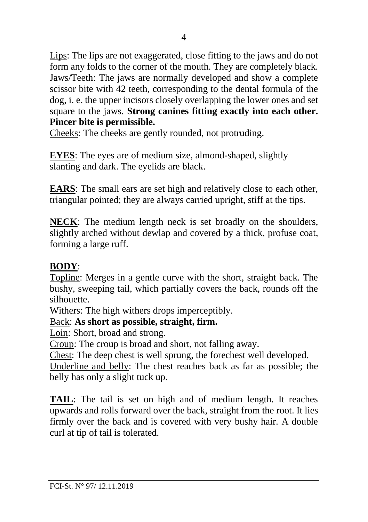Lips: The lips are not exaggerated, close fitting to the jaws and do not form any folds to the corner of the mouth. They are completely black. Jaws/Teeth: The jaws are normally developed and show a complete scissor bite with 42 teeth, corresponding to the dental formula of the dog, i. e. the upper incisors closely overlapping the lower ones and set square to the jaws. **Strong canines fitting exactly into each other. Pincer bite is permissible.**

Cheeks: The cheeks are gently rounded, not protruding.

**EYES**: The eyes are of medium size, almond-shaped, slightly slanting and dark. The eyelids are black.

**EARS**: The small ears are set high and relatively close to each other, triangular pointed; they are always carried upright, stiff at the tips.

**NECK**: The medium length neck is set broadly on the shoulders, slightly arched without dewlap and covered by a thick, profuse coat, forming a large ruff.

#### **BODY**:

Topline: Merges in a gentle curve with the short, straight back. The bushy, sweeping tail, which partially covers the back, rounds off the silhouette.

Withers: The high withers drops imperceptibly.

#### Back: **As short as possible, straight, firm.**

Loin: Short, broad and strong.

Croup: The croup is broad and short, not falling away.

Chest: The deep chest is well sprung, the forechest well developed.

Underline and belly: The chest reaches back as far as possible; the belly has only a slight tuck up.

**TAIL**: The tail is set on high and of medium length. It reaches upwards and rolls forward over the back, straight from the root. It lies firmly over the back and is covered with very bushy hair. A double curl at tip of tail is tolerated.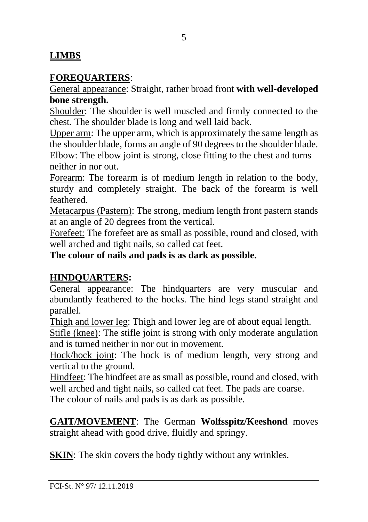#### **LIMBS**

#### **FOREQUARTERS**:

General appearance: Straight, rather broad front **with well-developed bone strength.** 

Shoulder: The shoulder is well muscled and firmly connected to the chest. The shoulder blade is long and well laid back.

Upper arm: The upper arm, which is approximately the same length as the shoulder blade, forms an angle of 90 degrees to the shoulder blade.

Elbow: The elbow joint is strong, close fitting to the chest and turns neither in nor out.

Forearm: The forearm is of medium length in relation to the body, sturdy and completely straight. The back of the forearm is well feathered.

Metacarpus (Pastern): The strong, medium length front pastern stands at an angle of 20 degrees from the vertical.

Forefeet: The forefeet are as small as possible, round and closed, with well arched and tight nails, so called cat feet.

**The colour of nails and pads is as dark as possible.**

#### **HINDQUARTERS:**

General appearance: The hindquarters are very muscular and abundantly feathered to the hocks. The hind legs stand straight and parallel.

Thigh and lower leg: Thigh and lower leg are of about equal length.

Stifle (knee): The stifle joint is strong with only moderate angulation and is turned neither in nor out in movement.

Hock/hock joint: The hock is of medium length, very strong and vertical to the ground.

Hindfeet: The hindfeet are as small as possible, round and closed, with well arched and tight nails, so called cat feet. The pads are coarse.

The colour of nails and pads is as dark as possible.

#### **GAIT/MOVEMENT**: The German **Wolfsspitz/Keeshond** moves straight ahead with good drive, fluidly and springy.

**SKIN:** The skin covers the body tightly without any wrinkles.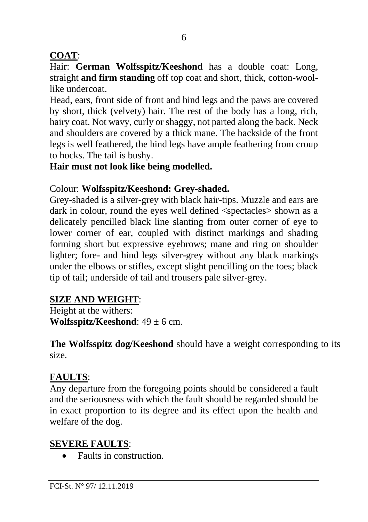## **COAT**:

Hair: **German Wolfsspitz/Keeshond** has a double coat: Long, straight **and firm standing** off top coat and short, thick, cotton-woollike undercoat.

Head, ears, front side of front and hind legs and the paws are covered by short, thick (velvety) hair. The rest of the body has a long, rich, hairy coat. Not wavy, curly or shaggy, not parted along the back. Neck and shoulders are covered by a thick mane. The backside of the front legs is well feathered, the hind legs have ample feathering from croup to hocks. The tail is bushy.

#### **Hair must not look like being modelled.**

#### Colour: **Wolfsspitz/Keeshond: Grey-shaded.**

Grey-shaded is a silver-grey with black hair-tips. Muzzle and ears are dark in colour, round the eyes well defined <spectacles> shown as a delicately pencilled black line slanting from outer corner of eye to lower corner of ear, coupled with distinct markings and shading forming short but expressive eyebrows; mane and ring on shoulder lighter; fore- and hind legs silver-grey without any black markings under the elbows or stifles, except slight pencilling on the toes; black tip of tail; underside of tail and trousers pale silver-grey.

# **SIZE AND WEIGHT**:

Height at the withers: **Wolfsspitz/Keeshond**:  $49 \pm 6$  cm.

**The Wolfsspitz dog/Keeshond** should have a weight corresponding to its size.

# **FAULTS**:

Any departure from the foregoing points should be considered a fault and the seriousness with which the fault should be regarded should be in exact proportion to its degree and its effect upon the health and welfare of the dog.

# **SEVERE FAULTS**:

• Faults in construction.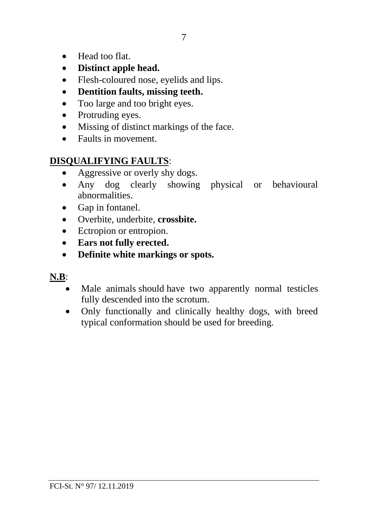- Head too flat.
- **Distinct apple head.**
- Flesh-coloured nose, eyelids and lips.
- **Dentition faults, missing teeth.**
- Too large and too bright eyes.
- Protruding eyes.
- Missing of distinct markings of the face.
- Faults in movement.

#### **DISQUALIFYING FAULTS**:

- Aggressive or overly shy dogs.
- Any dog clearly showing physical or behavioural abnormalities.
- Gap in fontanel.
- Overbite, underbite, **crossbite.**
- Ectropion or entropion.
- **Ears not fully erected.**
- **Definite white markings or spots.**

#### **N.B**:

- Male animals should have two apparently normal testicles fully descended into the scrotum.
- Only functionally and clinically healthy dogs, with breed typical conformation should be used for breeding.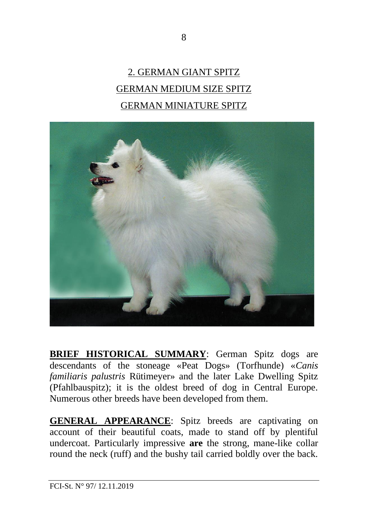# 2. GERMAN GIANT SPITZ GERMAN MEDIUM SIZE SPITZ GERMAN MINIATURE SPITZ



**BRIEF HISTORICAL SUMMARY**: German Spitz dogs are descendants of the stoneage «Peat Dogs» (Torfhunde) «*Canis familiaris palustris* Rütimeyer» and the later Lake Dwelling Spitz (Pfahlbauspitz); it is the oldest breed of dog in Central Europe. Numerous other breeds have been developed from them.

**GENERAL APPEARANCE**: Spitz breeds are captivating on account of their beautiful coats, made to stand off by plentiful undercoat. Particularly impressive **are** the strong, mane-like collar round the neck (ruff) and the bushy tail carried boldly over the back.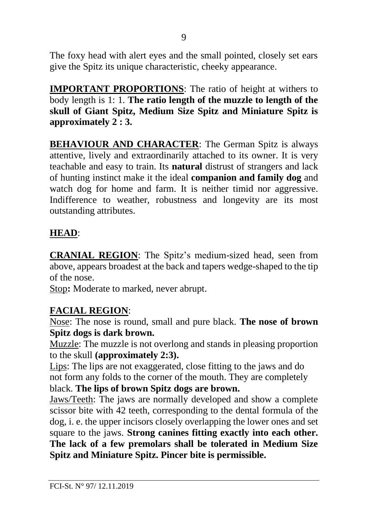The foxy head with alert eyes and the small pointed, closely set ears give the Spitz its unique characteristic, cheeky appearance.

**IMPORTANT PROPORTIONS**: The ratio of height at withers to body length is 1: 1. **The ratio length of the muzzle to length of the skull of Giant Spitz, Medium Size Spitz and Miniature Spitz is approximately 2 : 3.**

**BEHAVIOUR AND CHARACTER**: The German Spitz is always attentive, lively and extraordinarily attached to its owner. It is very teachable and easy to train. Its **natural** distrust of strangers and lack of hunting instinct make it the ideal **companion and family dog** and watch dog for home and farm. It is neither timid nor aggressive. Indifference to weather, robustness and longevity are its most outstanding attributes.

#### **HEAD**:

**CRANIAL REGION**: The Spitz's medium-sized head, seen from above, appears broadest at the back and tapers wedge-shaped to the tip of the nose.

Stop**:** Moderate to marked, never abrupt.

#### **FACIAL REGION**:

Nose: The nose is round, small and pure black. **The nose of brown Spitz dogs is dark brown.**

Muzzle: The muzzle is not overlong and stands in pleasing proportion to the skull **(approximately 2:3).**

Lips: The lips are not exaggerated, close fitting to the jaws and do not form any folds to the corner of the mouth. They are completely black. **The lips of brown Spitz dogs are brown.**

Jaws/Teeth: The jaws are normally developed and show a complete scissor bite with 42 teeth, corresponding to the dental formula of the dog, i. e. the upper incisors closely overlapping the lower ones and set square to the jaws. **Strong canines fitting exactly into each other. The lack of a few premolars shall be tolerated in Medium Size Spitz and Miniature Spitz. Pincer bite is permissible.**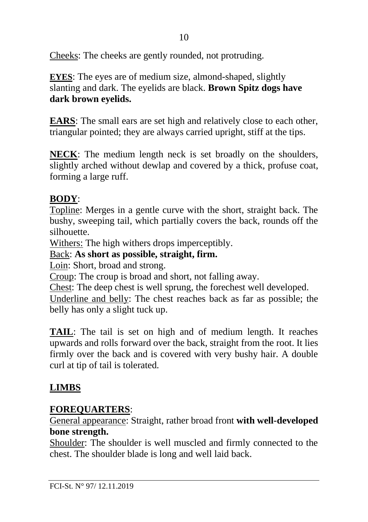Cheeks: The cheeks are gently rounded, not protruding.

**EYES**: The eyes are of medium size, almond-shaped, slightly slanting and dark. The eyelids are black. **Brown Spitz dogs have dark brown eyelids.**

**EARS**: The small ears are set high and relatively close to each other, triangular pointed; they are always carried upright, stiff at the tips.

**NECK**: The medium length neck is set broadly on the shoulders, slightly arched without dewlap and covered by a thick, profuse coat, forming a large ruff.

## **BODY**:

Topline: Merges in a gentle curve with the short, straight back. The bushy, sweeping tail, which partially covers the back, rounds off the silhouette.

Withers: The high withers drops imperceptibly.

Back: **As short as possible, straight, firm.**

Loin: Short, broad and strong.

Croup: The croup is broad and short, not falling away.

Chest: The deep chest is well sprung, the forechest well developed.

Underline and belly: The chest reaches back as far as possible; the belly has only a slight tuck up.

**TAIL**: The tail is set on high and of medium length. It reaches upwards and rolls forward over the back, straight from the root. It lies firmly over the back and is covered with very bushy hair. A double curl at tip of tail is tolerated.

# **LIMBS**

#### **FOREQUARTERS**:

General appearance: Straight, rather broad front **with well-developed bone strength.** 

Shoulder: The shoulder is well muscled and firmly connected to the chest. The shoulder blade is long and well laid back.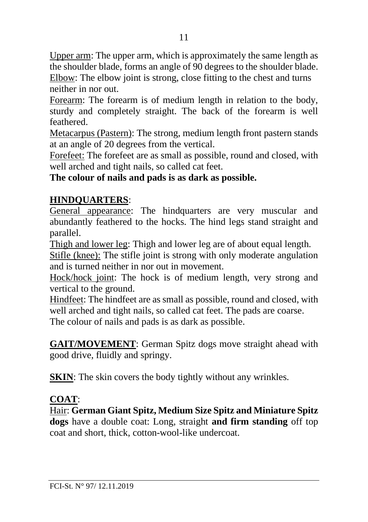Upper arm: The upper arm, which is approximately the same length as the shoulder blade, forms an angle of 90 degrees to the shoulder blade. Elbow: The elbow joint is strong, close fitting to the chest and turns neither in nor out.

Forearm: The forearm is of medium length in relation to the body, sturdy and completely straight. The back of the forearm is well feathered.

Metacarpus (Pastern): The strong, medium length front pastern stands at an angle of 20 degrees from the vertical.

Forefeet: The forefeet are as small as possible, round and closed, with well arched and tight nails, so called cat feet.

#### **The colour of nails and pads is as dark as possible.**

# **HINDQUARTERS**:

General appearance: The hindquarters are very muscular and abundantly feathered to the hocks. The hind legs stand straight and parallel.

Thigh and lower leg: Thigh and lower leg are of about equal length.

Stifle (knee): The stifle joint is strong with only moderate angulation and is turned neither in nor out in movement.

Hock/hock joint: The hock is of medium length, very strong and vertical to the ground.

Hindfeet: The hindfeet are as small as possible, round and closed, with well arched and tight nails, so called cat feet. The pads are coarse.

The colour of nails and pads is as dark as possible.

**GAIT/MOVEMENT**: German Spitz dogs move straight ahead with good drive, fluidly and springy.

**SKIN:** The skin covers the body tightly without any wrinkles.

# **COAT**:

Hair: **German Giant Spitz, Medium Size Spitz and Miniature Spitz dogs** have a double coat: Long, straight **and firm standing** off top coat and short, thick, cotton-wool-like undercoat.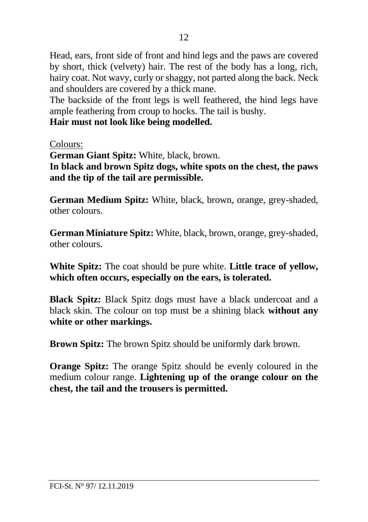Head, ears, front side of front and hind legs and the paws are covered by short, thick (velvety) hair. The rest of the body has a long, rich, hairy coat. Not wavy, curly or shaggy, not parted along the back. Neck and shoulders are covered by a thick mane.

The backside of the front legs is well feathered, the hind legs have ample feathering from croup to hocks. The tail is bushy.

**Hair must not look like being modelled.**

Colours:

**German Giant Spitz:** White, black, brown.

**In black and brown Spitz dogs, white spots on the chest, the paws and the tip of the tail are permissible.**

**German Medium Spitz:** White, black, brown, orange, grey-shaded, other colours.

**German Miniature Spitz:** White, black, brown, orange, grey-shaded, other colours.

**White Spitz:** The coat should be pure white. **Little trace of yellow, which often occurs, especially on the ears, is tolerated.** 

**Black Spitz:** Black Spitz dogs must have a black undercoat and a black skin. The colour on top must be a shining black **without any white or other markings.** 

**Brown Spitz:** The brown Spitz should be uniformly dark brown.

**Orange Spitz:** The orange Spitz should be evenly coloured in the medium colour range. **Lightening up of the orange colour on the chest, the tail and the trousers is permitted.**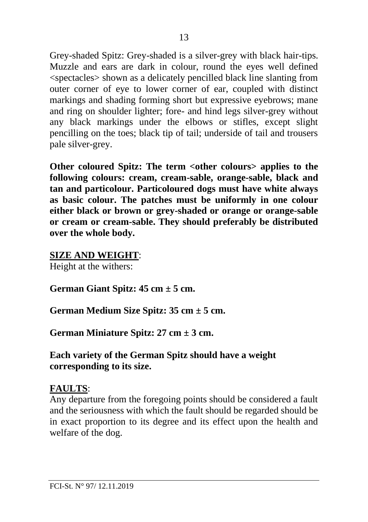Grey-shaded Spitz: Grey-shaded is a silver-grey with black hair-tips. Muzzle and ears are dark in colour, round the eyes well defined <spectacles> shown as a delicately pencilled black line slanting from outer corner of eye to lower corner of ear, coupled with distinct markings and shading forming short but expressive eyebrows; mane and ring on shoulder lighter; fore- and hind legs silver-grey without any black markings under the elbows or stifles, except slight pencilling on the toes; black tip of tail; underside of tail and trousers pale silver-grey.

Other coloured Spitz: The term <other colours> applies to the **following colours: cream, cream-sable, orange-sable, black and tan and particolour. Particoloured dogs must have white always as basic colour. The patches must be uniformly in one colour either black or brown or grey-shaded or orange or orange-sable or cream or cream-sable. They should preferably be distributed over the whole body.**

#### **SIZE AND WEIGHT**:

Height at the withers:

**German Giant Spitz: 45 cm ± 5 cm.**

**German Medium Size Spitz: 35 cm ± 5 cm.**

**German Miniature Spitz: 27 cm ± 3 cm.**

**Each variety of the German Spitz should have a weight corresponding to its size.**

#### **FAULTS**:

Any departure from the foregoing points should be considered a fault and the seriousness with which the fault should be regarded should be in exact proportion to its degree and its effect upon the health and welfare of the dog.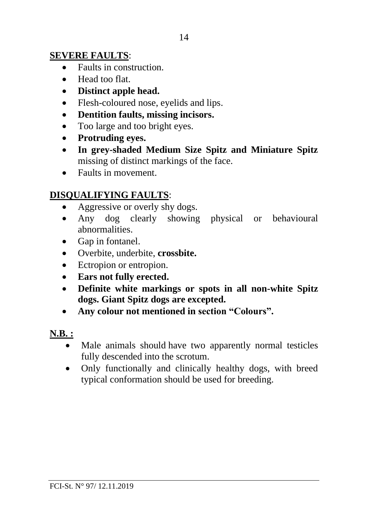#### **SEVERE FAULTS**:

- Faults in construction.
- Head too flat.
- **Distinct apple head.**
- Flesh-coloured nose, eyelids and lips.
- **Dentition faults, missing incisors.**
- Too large and too bright eyes.
- **Protruding eyes.**
- **In grey-shaded Medium Size Spitz and Miniature Spitz**  missing of distinct markings of the face.
- Faults in movement.

#### **DISQUALIFYING FAULTS**:

- Aggressive or overly shy dogs.
- Any dog clearly showing physical or behavioural abnormalities.
- Gap in fontanel.
- Overbite, underbite, **crossbite.**
- Ectropion or entropion.
- **Ears not fully erected.**
- **Definite white markings or spots in all non-white Spitz dogs. Giant Spitz dogs are excepted.**
- **Any colour not mentioned in section "Colours".**

#### **N.B. :**

- Male animals should have two apparently normal testicles fully descended into the scrotum.
- Only functionally and clinically healthy dogs, with breed typical conformation should be used for breeding.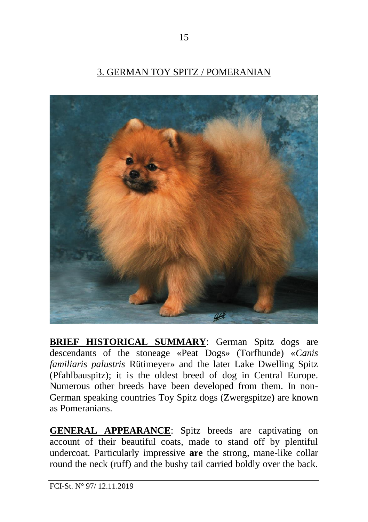## 3. GERMAN TOY SPITZ / POMERANIAN



**BRIEF HISTORICAL SUMMARY**: German Spitz dogs are descendants of the stoneage «Peat Dogs» (Torfhunde) «*Canis familiaris palustris* Rütimeyer» and the later Lake Dwelling Spitz (Pfahlbauspitz); it is the oldest breed of dog in Central Europe. Numerous other breeds have been developed from them. In non-German speaking countries Toy Spitz dogs (Zwergspitze**)** are known as Pomeranians.

**GENERAL APPEARANCE**: Spitz breeds are captivating on account of their beautiful coats, made to stand off by plentiful undercoat. Particularly impressive **are** the strong, mane-like collar round the neck (ruff) and the bushy tail carried boldly over the back.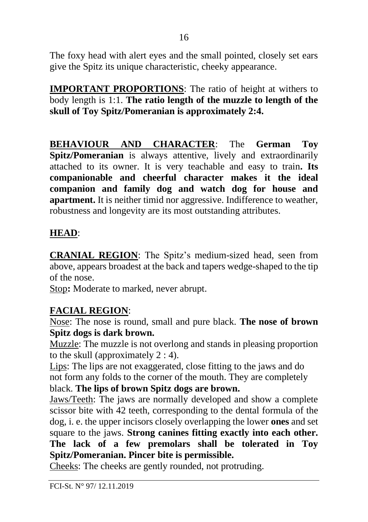The foxy head with alert eyes and the small pointed, closely set ears give the Spitz its unique characteristic, cheeky appearance.

**IMPORTANT PROPORTIONS**: The ratio of height at withers to body length is 1:1. **The ratio length of the muzzle to length of the skull of Toy Spitz/Pomeranian is approximately 2:4.**

**BEHAVIOUR AND CHARACTER**: The **German Toy Spitz/Pomeranian** is always attentive, lively and extraordinarily attached to its owner. It is very teachable and easy to train**. Its companionable and cheerful character makes it the ideal companion and family dog and watch dog for house and apartment.** It is neither timid nor aggressive. Indifference to weather, robustness and longevity are its most outstanding attributes.

#### **HEAD**:

**CRANIAL REGION**: The Spitz's medium-sized head, seen from above, appears broadest at the back and tapers wedge-shaped to the tip of the nose.

Stop**:** Moderate to marked, never abrupt.

#### **FACIAL REGION**:

Nose: The nose is round, small and pure black. **The nose of brown Spitz dogs is dark brown.**

Muzzle: The muzzle is not overlong and stands in pleasing proportion to the skull (approximately 2 : 4).

Lips: The lips are not exaggerated, close fitting to the jaws and do not form any folds to the corner of the mouth. They are completely black. **The lips of brown Spitz dogs are brown.**

Jaws/Teeth: The jaws are normally developed and show a complete scissor bite with 42 teeth, corresponding to the dental formula of the dog, i. e. the upper incisors closely overlapping the lower **ones** and set square to the jaws. **Strong canines fitting exactly into each other. The lack of a few premolars shall be tolerated in Toy Spitz/Pomeranian. Pincer bite is permissible.**

Cheeks: The cheeks are gently rounded, not protruding.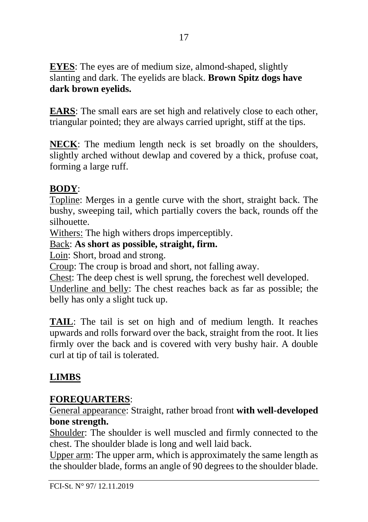**EYES**: The eyes are of medium size, almond-shaped, slightly slanting and dark. The eyelids are black. **Brown Spitz dogs have dark brown eyelids.**

**EARS**: The small ears are set high and relatively close to each other, triangular pointed; they are always carried upright, stiff at the tips.

**NECK**: The medium length neck is set broadly on the shoulders, slightly arched without dewlap and covered by a thick, profuse coat, forming a large ruff.

## **BODY**:

Topline: Merges in a gentle curve with the short, straight back. The bushy, sweeping tail, which partially covers the back, rounds off the silhouette.

Withers: The high withers drops imperceptibly.

Back: **As short as possible, straight, firm.**

Loin: Short, broad and strong.

Croup: The croup is broad and short, not falling away.

Chest: The deep chest is well sprung, the forechest well developed.

Underline and belly: The chest reaches back as far as possible; the belly has only a slight tuck up.

**TAIL**: The tail is set on high and of medium length. It reaches upwards and rolls forward over the back, straight from the root. It lies firmly over the back and is covered with very bushy hair. A double curl at tip of tail is tolerated.

# **LIMBS**

#### **FOREQUARTERS**:

General appearance: Straight, rather broad front **with well-developed bone strength.** 

Shoulder: The shoulder is well muscled and firmly connected to the chest. The shoulder blade is long and well laid back.

Upper arm: The upper arm, which is approximately the same length as the shoulder blade, forms an angle of 90 degrees to the shoulder blade.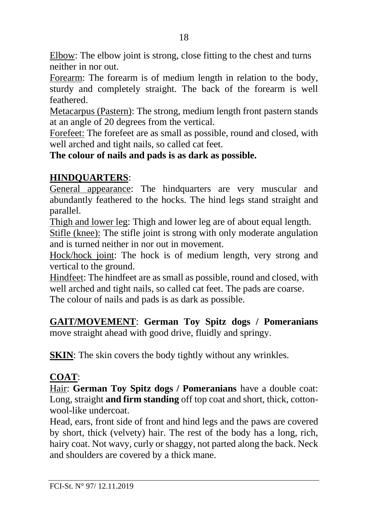Elbow: The elbow joint is strong, close fitting to the chest and turns neither in nor out.

Forearm: The forearm is of medium length in relation to the body, sturdy and completely straight. The back of the forearm is well feathered.

Metacarpus (Pastern): The strong, medium length front pastern stands at an angle of 20 degrees from the vertical.

Forefeet: The forefeet are as small as possible, round and closed, with well arched and tight nails, so called cat feet.

**The colour of nails and pads is as dark as possible.**

#### **HINDQUARTERS**:

General appearance: The hindquarters are very muscular and abundantly feathered to the hocks. The hind legs stand straight and parallel.

Thigh and lower leg: Thigh and lower leg are of about equal length.

Stifle (knee): The stifle joint is strong with only moderate angulation and is turned neither in nor out in movement.

Hock/hock joint: The hock is of medium length, very strong and vertical to the ground.

Hindfeet: The hindfeet are as small as possible, round and closed, with well arched and tight nails, so called cat feet. The pads are coarse. The colour of nails and pads is as dark as possible.

**GAIT/MOVEMENT**: **German Toy Spitz dogs / Pomeranians**  move straight ahead with good drive, fluidly and springy.

**SKIN:** The skin covers the body tightly without any wrinkles.

#### **COAT**:

Hair: **German Toy Spitz dogs / Pomeranians** have a double coat: Long, straight **and firm standing** off top coat and short, thick, cottonwool-like undercoat.

Head, ears, front side of front and hind legs and the paws are covered by short, thick (velvety) hair. The rest of the body has a long, rich, hairy coat. Not wavy, curly or shaggy, not parted along the back. Neck and shoulders are covered by a thick mane.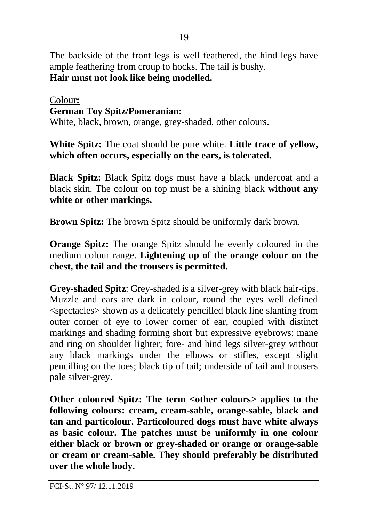The backside of the front legs is well feathered, the hind legs have ample feathering from croup to hocks. The tail is bushy. **Hair must not look like being modelled.**

#### Colour**: German Toy Spitz/Pomeranian:**

White, black, brown, orange, grey-shaded, other colours.

**White Spitz:** The coat should be pure white. **Little trace of yellow, which often occurs, especially on the ears, is tolerated.** 

**Black Spitz:** Black Spitz dogs must have a black undercoat and a black skin. The colour on top must be a shining black **without any white or other markings.** 

**Brown Spitz:** The brown Spitz should be uniformly dark brown.

**Orange Spitz:** The orange Spitz should be evenly coloured in the medium colour range. **Lightening up of the orange colour on the chest, the tail and the trousers is permitted.**

**Grey-shaded Spitz**: Grey-shaded is a silver-grey with black hair-tips. Muzzle and ears are dark in colour, round the eyes well defined <spectacles> shown as a delicately pencilled black line slanting from outer corner of eye to lower corner of ear, coupled with distinct markings and shading forming short but expressive eyebrows; mane and ring on shoulder lighter; fore- and hind legs silver-grey without any black markings under the elbows or stifles, except slight pencilling on the toes; black tip of tail; underside of tail and trousers pale silver-grey.

Other coloured Spitz: The term <other colours> applies to the **following colours: cream, cream-sable, orange-sable, black and tan and particolour. Particoloured dogs must have white always as basic colour. The patches must be uniformly in one colour either black or brown or grey-shaded or orange or orange-sable or cream or cream-sable. They should preferably be distributed over the whole body.**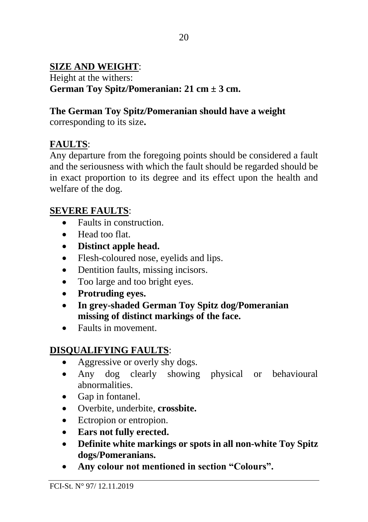#### **SIZE AND WEIGHT**:

Height at the withers: **German Toy Spitz/Pomeranian: 21 cm ± 3 cm.**

## **The German Toy Spitz/Pomeranian should have a weight**

corresponding to its size**.** 

## **FAULTS**:

Any departure from the foregoing points should be considered a fault and the seriousness with which the fault should be regarded should be in exact proportion to its degree and its effect upon the health and welfare of the dog.

## **SEVERE FAULTS**:

- Faults in construction.
- Head too flat.
- **Distinct apple head.**
- Flesh-coloured nose, eyelids and lips.
- Dentition faults, missing incisors.
- Too large and too bright eyes.
- **Protruding eyes.**
- **In grey-shaded German Toy Spitz dog/Pomeranian missing of distinct markings of the face.**
- Faults in movement

# **DISQUALIFYING FAULTS**:

- Aggressive or overly shy dogs.
- Any dog clearly showing physical or behavioural abnormalities.
- Gap in fontanel.
- Overbite, underbite, **crossbite.**
- Ectropion or entropion.
- **Ears not fully erected.**
- **Definite white markings or spots in all non-white Toy Spitz dogs/Pomeranians.**
- **Any colour not mentioned in section "Colours".**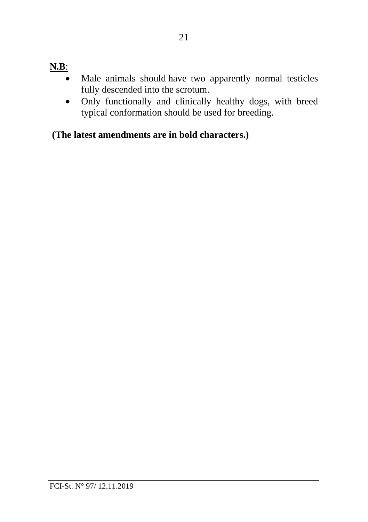# **N.B**:

- Male animals should have two apparently normal testicles fully descended into the scrotum.
- Only functionally and clinically healthy dogs, with breed typical conformation should be used for breeding.

**(The latest amendments are in bold characters.)**